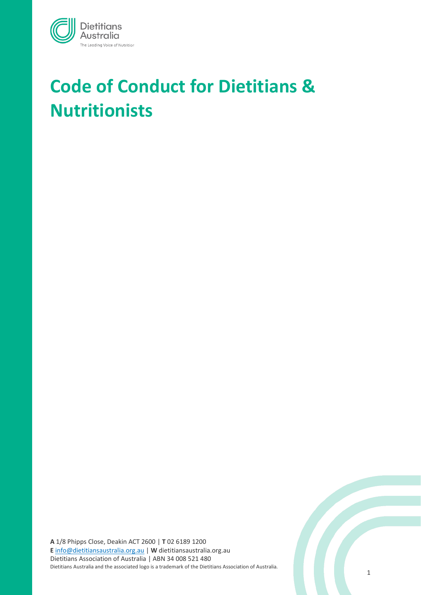

# **Code of Conduct for Dietitians & Nutritionists**

**A** 1/8 Phipps Close, Deakin ACT 2600 | **T** 02 6189 1200 **E** [info@dietitiansaustralia.org.au](mailto:info@dietitiansaustralia.org.au) | **W** dietitiansaustralia.org.au Dietitians Association of Australia | ABN 34 008 521 480 Dietitians Australia and the associated logo is a trademark of the Dietitians Association of Australia.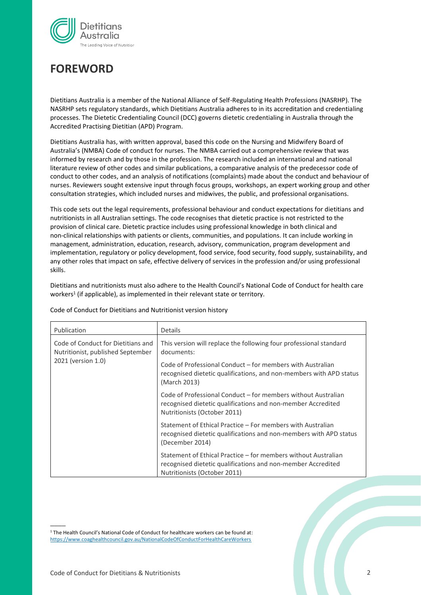

# **FOREWORD**

Dietitians Australia is a member of the National Alliance of Self-Regulating Health Professions (NASRHP). The NASRHP sets regulatory standards, which Dietitians Australia adheres to in its accreditation and credentialing processes. The Dietetic Credentialing Council (DCC) governs dietetic credentialing in Australia through the Accredited Practising Dietitian (APD) Program.

Dietitians Australia has, with written approval, based this code on the Nursing and Midwifery Board of Australia's (NMBA) Code of conduct for nurses. The NMBA carried out a comprehensive review that was informed by research and by those in the profession. The research included an international and national literature review of other codes and similar publications, a comparative analysis of the predecessor code of conduct to other codes, and an analysis of notifications (complaints) made about the conduct and behaviour of nurses. Reviewers sought extensive input through focus groups, workshops, an expert working group and other consultation strategies, which included nurses and midwives, the public, and professional organisations.

This code sets out the legal requirements, professional behaviour and conduct expectations for dietitians and nutritionists in all Australian settings. The code recognises that dietetic practice is not restricted to the provision of clinical care. Dietetic practice includes using professional knowledge in both clinical and non-clinical relationships with patients or clients, communities, and populations. It can include working in management, administration, education, research, advisory, communication, program development and implementation, regulatory or policy development, food service, food security, food supply, sustainability, and any other roles that impact on safe, effective delivery of services in the profession and/or using professional skills.

Dietitians and nutritionists must also adhere to the Health Council's National Code of Conduct for health care workers<sup>1</sup> (if applicable), as implemented in their relevant state or territory.

| Publication                                                                                   | Details                                                                                                                                                        |  |
|-----------------------------------------------------------------------------------------------|----------------------------------------------------------------------------------------------------------------------------------------------------------------|--|
| Code of Conduct for Dietitians and<br>Nutritionist, published September<br>2021 (version 1.0) | This version will replace the following four professional standard<br>documents:                                                                               |  |
|                                                                                               | Code of Professional Conduct – for members with Australian<br>recognised dietetic qualifications, and non-members with APD status<br>(March 2013)              |  |
|                                                                                               | Code of Professional Conduct – for members without Australian<br>recognised dietetic qualifications and non-member Accredited<br>Nutritionists (October 2011)  |  |
|                                                                                               | Statement of Ethical Practice – For members with Australian<br>recognised dietetic qualifications and non-members with APD status<br>(December 2014)           |  |
|                                                                                               | Statement of Ethical Practice – for members without Australian<br>recognised dietetic qualifications and non-member Accredited<br>Nutritionists (October 2011) |  |

Code of Conduct for Dietitians and Nutritionist version history

<sup>1</sup> The Health Council's National Code of Conduct for healthcare workers can be found at: <https://www.coaghealthcouncil.gov.au/NationalCodeOfConductForHealthCareWorkers>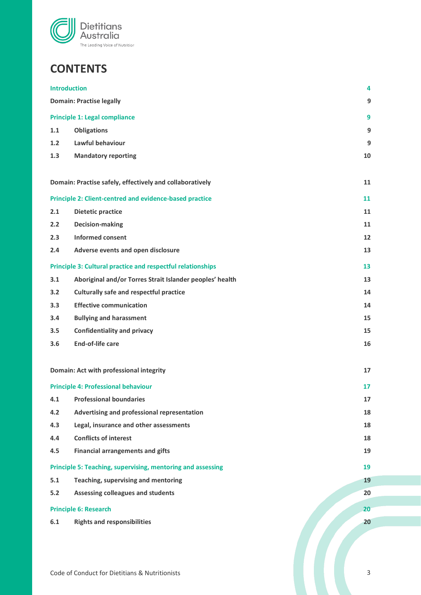

# **CONTENTS**

| <b>Introduction</b> |                                                                    | 4  |
|---------------------|--------------------------------------------------------------------|----|
|                     | <b>Domain: Practise legally</b>                                    | 9  |
|                     | <b>Principle 1: Legal compliance</b>                               | 9  |
| 1.1                 | <b>Obligations</b>                                                 | 9  |
| 1.2                 | Lawful behaviour                                                   | 9  |
| 1.3                 | <b>Mandatory reporting</b>                                         | 10 |
|                     |                                                                    |    |
|                     | Domain: Practise safely, effectively and collaboratively           | 11 |
|                     | <b>Principle 2: Client-centred and evidence-based practice</b>     | 11 |
| 2.1                 | <b>Dietetic practice</b>                                           | 11 |
| 2.2                 | <b>Decision-making</b>                                             | 11 |
| 2.3                 | <b>Informed consent</b>                                            | 12 |
| 2.4                 | Adverse events and open disclosure                                 | 13 |
|                     | <b>Principle 3: Cultural practice and respectful relationships</b> | 13 |
| 3.1                 | Aboriginal and/or Torres Strait Islander peoples' health           | 13 |
| 3.2                 | <b>Culturally safe and respectful practice</b>                     | 14 |
| 3.3                 | <b>Effective communication</b>                                     | 14 |
| 3.4                 | <b>Bullying and harassment</b>                                     | 15 |
| 3.5                 | <b>Confidentiality and privacy</b>                                 | 15 |
| 3.6                 | <b>End-of-life care</b>                                            | 16 |
|                     |                                                                    |    |
|                     | Domain: Act with professional integrity                            | 17 |
|                     | <b>Principle 4: Professional behaviour</b>                         | 17 |
|                     | 4.1 Professional boundaries                                        | 17 |
| 4.2                 | Advertising and professional representation                        | 18 |
| 4.3                 | Legal, insurance and other assessments                             | 18 |
| 4.4                 | <b>Conflicts of interest</b>                                       | 18 |
| 4.5                 | <b>Financial arrangements and gifts</b>                            | 19 |
|                     | Principle 5: Teaching, supervising, mentoring and assessing        | 19 |
| 5.1                 | Teaching, supervising and mentoring                                | 19 |
| $5.2$               | Assessing colleagues and students                                  | 20 |
|                     | <b>Principle 6: Research</b>                                       | 20 |
| 6.1                 | <b>Rights and responsibilities</b>                                 | 20 |
|                     |                                                                    |    |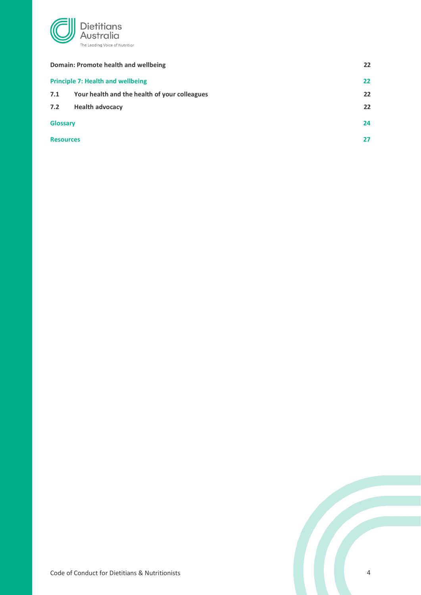

| Domain: Promote health and wellbeing |                                               | 22 |
|--------------------------------------|-----------------------------------------------|----|
|                                      | <b>Principle 7: Health and wellbeing</b>      | 22 |
| 7.1                                  | Your health and the health of your colleagues | 22 |
| 7.2                                  | <b>Health advocacy</b>                        | 22 |
| <b>Glossary</b>                      |                                               | 24 |
| <b>Resources</b>                     |                                               | 27 |

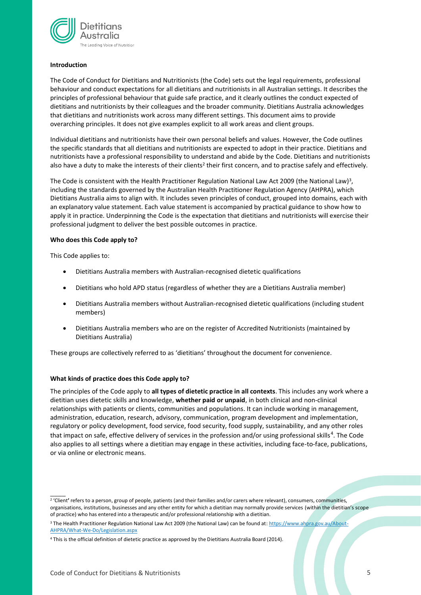

#### **Introduction**

The Code of Conduct for Dietitians and Nutritionists (the Code) sets out the legal requirements, professional behaviour and conduct expectations for all dietitians and nutritionists in all Australian settings. It describes the principles of professional behaviour that guide safe practice, and it clearly outlines the conduct expected of dietitians and nutritionists by their colleagues and the broader community. Dietitians Australia acknowledges that dietitians and nutritionists work across many different settings. This document aims to provide overarching principles. It does not give examples explicit to all work areas and client groups.

Individual dietitians and nutritionists have their own personal beliefs and values. However, the Code outlines the specific standards that all dietitians and nutritionists are expected to adopt in their practice. Dietitians and nutritionists have a professional responsibility to understand and abide by the Code. Dietitians and nutritionists also have a duty to make the interests of their clients<sup>2</sup> their first concern, and to practise safely and effectively.

The Code is consistent with the Health Practitioner Regulation National Law Act 2009 (the National Law)<sup>3</sup>, including the standards governed by the Australian Health Practitioner Regulation Agency (AHPRA), which Dietitians Australia aims to align with. It includes seven principles of conduct, grouped into domains, each with an explanatory value statement. Each value statement is accompanied by practical guidance to show how to apply it in practice. Underpinning the Code is the expectation that dietitians and nutritionists will exercise their professional judgment to deliver the best possible outcomes in practice.

#### **Who does this Code apply to?**

This Code applies to:

 $\overline{\phantom{a}}$ 

- Dietitians Australia members with Australian-recognised dietetic qualifications
- Dietitians who hold APD status (regardless of whether they are a Dietitians Australia member)
- Dietitians Australia members without Australian-recognised dietetic qualifications (including student members)
- Dietitians Australia members who are on the register of Accredited Nutritionists (maintained by Dietitians Australia)

These groups are collectively referred to as 'dietitians' throughout the document for convenience.

#### **What kinds of practice does this Code apply to?**

The principles of the Code apply to **all types of dietetic practice in all contexts**. This includes any work where a dietitian uses dietetic skills and knowledge, **whether paid or unpaid**, in both clinical and non-clinical relationships with patients or clients, communities and populations. It can include working in management, administration, education, research, advisory, communication, program development and implementation, regulatory or policy development, food service, food security, food supply, sustainability, and any other roles that impact on safe, effective delivery of services in the profession and/or using professional skills<sup>4</sup>. The Code also applies to all settings where a dietitian may engage in these activities, including face-to-face, publications, or via online or electronic means.

<sup>3</sup> The Health Practitioner Regulation National Law Act 2009 (the National Law) can be found at: [https://www.ahpra.gov.au/About-](https://www.ahpra.gov.au/About-AHPRA/What-We-Do/Legislation.aspx)[AHPRA/What-We-Do/Legislation.aspx](https://www.ahpra.gov.au/About-AHPRA/What-We-Do/Legislation.aspx)

<sup>2</sup> 'Client**'** refers to a person, group of people, patients (and their families and/or carers where relevant), consumers, communities, organisations, institutions, businesses and any other entity for which a dietitian may normally provide services (within the dietitian's scope of practice) who has entered into a therapeutic and/or professional relationship with a dietitian.

<sup>4</sup> This is the official definition of dietetic practice as approved by the Dietitians Australia Board (2014).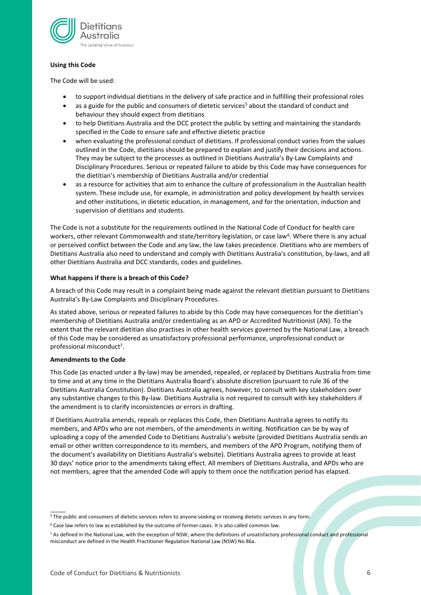

#### **Using this Code**

The Code will be used:

- to support individual dietitians in the delivery of safe practice and in fulfilling their professional roles
- as a guide for the public and consumers of dietetic services<sup>5</sup> about the standard of conduct and behaviour they should expect from dietitians
- to help Dietitians Australia and the DCC protect the public by setting and maintaining the standards specified in the Code to ensure safe and effective dietetic practice
- when evaluating the professional conduct of dietitians. If professional conduct varies from the values outlined in the Code, dietitians should be prepared to explain and justify their decisions and actions. They may be subject to the processes as outlined in Dietitians Australia's By-Law Complaints and Disciplinary Procedures. Serious or repeated failure to abide by this Code may have consequences for the dietitian's membership of Dietitians Australia and/or credential
- as a resource for activities that aim to enhance the culture of professionalism in the Australian health system. These include use, for example, in administration and policy development by health services and other institutions, in dietetic education, in management, and for the orientation, induction and supervision of dietitians and students.

The Code is not a substitute for the requirements outlined in the National Code of Conduct for health care workers, other relevant Commonwealth and state/territory legislation, or case law<sup>6</sup>. Where there is any actual or perceived conflict between the Code and any law, the law takes precedence. Dietitians who are members of Dietitians Australia also need to understand and comply with Dietitians Australia's constitution, by-laws, and all other Dietitians Australia and DCC standards, codes and guidelines.

#### **What happens if there is a breach of this Code?**

A breach of this Code may result in a complaint being made against the relevant dietitian pursuant to Dietitians Australia's By-Law Complaints and Disciplinary Procedures.

As stated above, serious or repeated failures to abide by this Code may have consequences for the dietitian's membership of Dietitians Australia and/or credentialing as an APD or Accredited Nutritionist (AN). To the extent that the relevant dietitian also practises in other health services governed by the National Law, a breach of this Code may be considered as unsatisfactory professional performance, unprofessional conduct or professional misconduct<sup>7</sup>.

#### **Amendments to the Code**

 $\overline{\phantom{a}}$ 

This Code (as enacted under a By-law) may be amended, repealed, or replaced by Dietitians Australia from time to time and at any time in the Dietitians Australia Board's absolute discretion (pursuant to rule 36 of the Dietitians Australia Constitution). Dietitians Australia agrees, however, to consult with key stakeholders over any substantive changes to this By-law. Dietitians Australia is not required to consult with key stakeholders if the amendment is to clarify inconsistencies or errors in drafting.

If Dietitians Australia amends, repeals or replaces this Code, then Dietitians Australia agrees to notify its members, and APDs who are not members, of the amendments in writing. Notification can be by way of uploading a copy of the amended Code to Dietitians Australia's website (provided Dietitians Australia sends an email or other written correspondence to its members, and members of the APD Program, notifying them of the document's availability on Dietitians Australia's website). Dietitians Australia agrees to provide at least 30 days' notice prior to the amendments taking effect. All members of Dietitians Australia, and APDs who are not members, agree that the amended Code will apply to them once the notification period has elapsed.

<sup>&</sup>lt;sup>5</sup> The public and consumers of dietetic services refers to anyone seeking or receiving dietetic services in any form.

<sup>6</sup> Case law refers to law as established by the outcome of former cases. It is also called common law.

<sup>7</sup> As defined in the National Law, with the exception of NSW, where the definitions of unsatisfactory professional conduct and professional misconduct are defined in the Health Practitioner Regulation National Law (NSW) No 86a.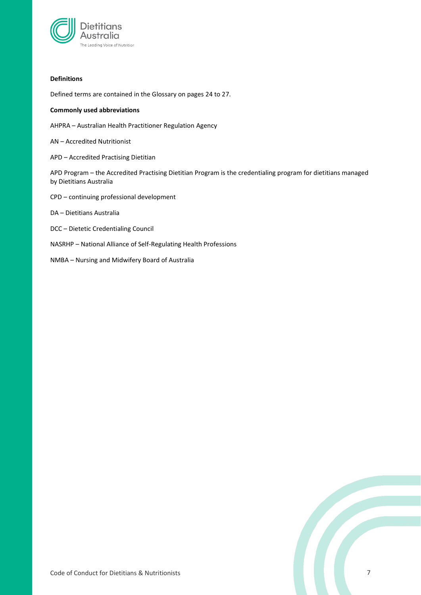

#### **Definitions**

Defined terms are contained in the Glossary on pages 24 to 27.

#### **Commonly used abbreviations**

AHPRA – Australian Health Practitioner Regulation Agency

AN – Accredited Nutritionist

APD – Accredited Practising Dietitian

APD Program – the Accredited Practising Dietitian Program is the credentialing program for dietitians managed by Dietitians Australia

CPD – continuing professional development

DA – Dietitians Australia

- DCC Dietetic Credentialing Council
- NASRHP National Alliance of Self-Regulating Health Professions
- NMBA Nursing and Midwifery Board of Australia

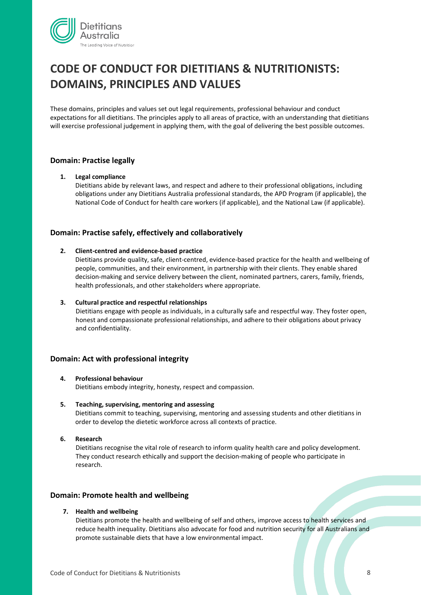

# **CODE OF CONDUCT FOR DIETITIANS & NUTRITIONISTS: DOMAINS, PRINCIPLES AND VALUES**

These domains, principles and values set out legal requirements, professional behaviour and conduct expectations for all dietitians. The principles apply to all areas of practice, with an understanding that dietitians will exercise professional judgement in applying them, with the goal of delivering the best possible outcomes.

### **Domain: Practise legally**

#### **1. Legal compliance**

Dietitians abide by relevant laws, and respect and adhere to their professional obligations, including obligations under any Dietitians Australia professional standards, the APD Program (if applicable), the National Code of Conduct for health care workers (if applicable), and the National Law (if applicable).

### **Domain: Practise safely, effectively and collaboratively**

#### **2. Client-centred and evidence-based practice**

Dietitians provide quality, safe, client-centred, evidence-based practice for the health and wellbeing of people, communities, and their environment, in partnership with their clients. They enable shared decision-making and service delivery between the client, nominated partners, carers, family, friends, health professionals, and other stakeholders where appropriate.

#### **3. Cultural practice and respectful relationships**

Dietitians engage with people as individuals, in a culturally safe and respectful way. They foster open, honest and compassionate professional relationships, and adhere to their obligations about privacy and confidentiality.

# **Domain: Act with professional integrity**

#### **4. Professional behaviour**

Dietitians embody integrity, honesty, respect and compassion.

- **5. Teaching, supervising, mentoring and assessing**  Dietitians commit to teaching, supervising, mentoring and assessing students and other dietitians in order to develop the dietetic workforce across all contexts of practice.
- **6. Research**

Dietitians recognise the vital role of research to inform quality health care and policy development. They conduct research ethically and support the decision-making of people who participate in research.

### **Domain: Promote health and wellbeing**

#### **7. Health and wellbeing**

Dietitians promote the health and wellbeing of self and others, improve access to health services and reduce health inequality. Dietitians also advocate for food and nutrition security for all Australians and promote sustainable diets that have a low environmental impact.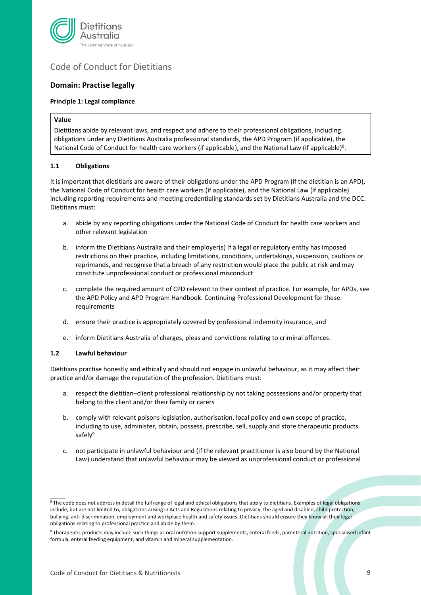

# Code of Conduct for Dietitians

# <span id="page-8-0"></span>**Domain: Practise legally**

#### <span id="page-8-1"></span>**Principle 1: Legal compliance**

#### **Value**

Dietitians abide by relevant laws, and respect and adhere to their professional obligations, including obligations under any Dietitians Australia professional standards, the APD Program (if applicable), the National Code of Conduct for health care workers (if applicable), and the National Law (if applicable)<sup>8</sup>.

#### <span id="page-8-2"></span>**1.1 Obligations**

It is important that dietitians are aware of their obligations under the APD Program (if the dietitian is an APD), the National Code of Conduct for health care workers (if applicable), and the National Law (if applicable) including reporting requirements and meeting credentialing standards set by Dietitians Australia and the DCC. Dietitians must:

- a. abide by any reporting obligations under the National Code of Conduct for health care workers and other relevant legislation
- b. inform the Dietitians Australia and their employer(s) if a legal or regulatory entity has imposed restrictions on their practice, including limitations, conditions, undertakings, suspension, cautions or reprimands, and recognise that a breach of any restriction would place the public at risk and may constitute unprofessional conduct or professional misconduct
- c. complete the required amount of CPD relevant to their context of practice. For example, for APDs, see the APD Policy and APD Program Handbook: Continuing Professional Development for these requirements
- d. ensure their practice is appropriately covered by professional indemnity insurance, and
- e. inform Dietitians Australia of charges, pleas and convictions relating to criminal offences.

#### <span id="page-8-3"></span>**1.2 Lawful behaviour**

 $\overline{\phantom{a}}$ 

Dietitians practise honestly and ethically and should not engage in unlawful behaviour, as it may affect their practice and/or damage the reputation of the profession. Dietitians must:

- a. respect the dietitian–client professional relationship by not taking possessions and/or property that belong to the client and/or their family or carers
- b. comply with relevant poisons legislation, authorisation, local policy and own scope of practice, including to use, administer, obtain, possess, prescribe, sell, supply and store therapeutic products safely<sup>9</sup>
- c. not participate in unlawful behaviour and (if the relevant practitioner is also bound by the National Law) understand that unlawful behaviour may be viewed as unprofessional conduct or professional

<sup>8</sup>The code does not address in detail the full range of legal and ethical obligations that apply to dietitians. Examples of legal obligations include, but are not limited to, obligations arising in Acts and Regulations relating to privacy, the aged and disabled, child protection, bullying, anti-discrimination, employment and workplace health and safety issues. Dietitians should ensure they know all their legal obligations relating to professional practice and abide by them.

<sup>9</sup> Therapeutic products may include such things as oral nutrition support supplements, enteral feeds, parenteral nutrition, specialised infant formula, enteral feeding equipment, and vitamin and mineral supplementation.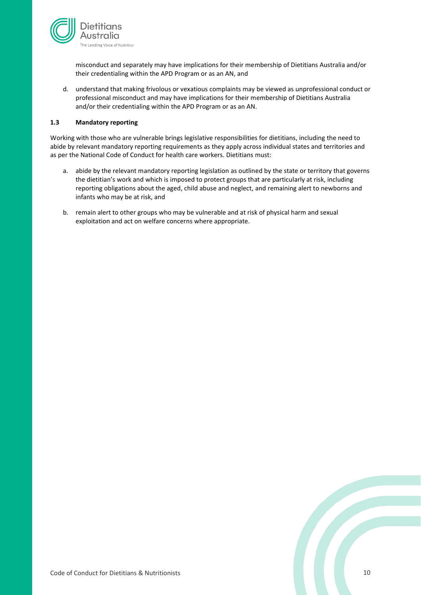

misconduct and separately may have implications for their membership of Dietitians Australia and/or their credentialing within the APD Program or as an AN, and

d. understand that making frivolous or vexatious complaints may be viewed as unprofessional conduct or professional misconduct and may have implications for their membership of Dietitians Australia and/or their credentialing within the APD Program or as an AN.

#### <span id="page-9-0"></span>**1.3 Mandatory reporting**

Working with those who are vulnerable brings legislative responsibilities for dietitians, including the need to abide by relevant mandatory reporting requirements as they apply across individual states and territories and as per the National Code of Conduct for health care workers. Dietitians must:

- a. abide by the relevant mandatory reporting legislation as outlined by the state or territory that governs the dietitian's work and which is imposed to protect groups that are particularly at risk, including reporting obligations about the aged, child abuse and neglect, and remaining alert to newborns and infants who may be at risk, and
- b. remain alert to other groups who may be vulnerable and at risk of physical harm and sexual exploitation and act on welfare concerns where appropriate.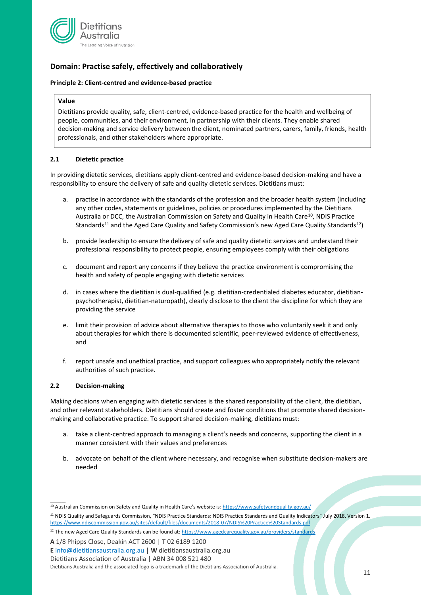

# <span id="page-10-0"></span>**Domain: Practise safely, effectively and collaboratively**

#### <span id="page-10-1"></span>**Principle 2: Client-centred and evidence-based practice**

#### **Value**

Dietitians provide quality, safe, client-centred, evidence-based practice for the health and wellbeing of people, communities, and their environment, in partnership with their clients. They enable shared decision-making and service delivery between the client, nominated partners, carers, family, friends, health professionals, and other stakeholders where appropriate.

#### <span id="page-10-2"></span>**2.1 Dietetic practice**

In providing dietetic services, dietitians apply client-centred and evidence-based decision-making and have a responsibility to ensure the delivery of safe and quality dietetic services. Dietitians must:

- a. practise in accordance with the standards of the profession and the broader health system (including any other codes, statements or guidelines, policies or procedures implemented by the Dietitians Australia or DCC, the Australian Commission on Safety and Quality in Health Care<sup>10</sup>, NDIS Practice Standards<sup>11</sup> and the Aged Care Quality and Safety Commission's new Aged Care Quality Standards<sup>12</sup>)
- b. provide leadership to ensure the delivery of safe and quality dietetic services and understand their professional responsibility to protect people, ensuring employees comply with their obligations
- c. document and report any concerns if they believe the practice environment is compromising the health and safety of people engaging with dietetic services
- d. in cases where the dietitian is dual-qualified (e.g. dietitian-credentialed diabetes educator, dietitianpsychotherapist, dietitian-naturopath), clearly disclose to the client the discipline for which they are providing the service
- e. limit their provision of advice about alternative therapies to those who voluntarily seek it and only about therapies for which there is documented scientific, peer-reviewed evidence of effectiveness, and
- <span id="page-10-3"></span>f. report unsafe and unethical practice, and support colleagues who appropriately notify the relevant authorities of such practice.

#### **2.2 Decision-making**

 $\overline{\phantom{a}}$ 

Making decisions when engaging with dietetic services is the shared responsibility of the client, the dietitian, and other relevant stakeholders. Dietitians should create and foster conditions that promote shared decisionmaking and collaborative practice. To support shared decision-making, dietitians must:

- a. take a client-centred approach to managing a client's needs and concerns, supporting the client in a manner consistent with their values and preferences
- b. advocate on behalf of the client where necessary, and recognise when substitute decision-makers are needed

Dietitians Association of Australia | ABN 34 008 521 480

<sup>&</sup>lt;sup>10</sup> Australian Commission on Safety and Quality in Health Care's website is: <https://www.safetyandquality.gov.au/>

<sup>11</sup> NDIS Quality and Safeguards Commission, "NDIS Practice Standards: NDIS Practice Standards and Quality Indicators" July 2018, Version 1. <https://www.ndiscommission.gov.au/sites/default/files/documents/2018-07/NDIS%20Practice%20Standards.pdf>

<sup>&</sup>lt;sup>12</sup> The new Aged Care Quality Standards can be found at: <https://www.agedcarequality.gov.au/providers/standards>

**A** 1/8 Phipps Close, Deakin ACT 2600 | **T** 02 6189 1200

**E** [info@dietitiansaustralia.org.au](mailto:info@dietitiansaustralia.org.au) | **W** dietitiansaustralia.org.au

Dietitians Australia and the associated logo is a trademark of the Dietitians Association of Australia.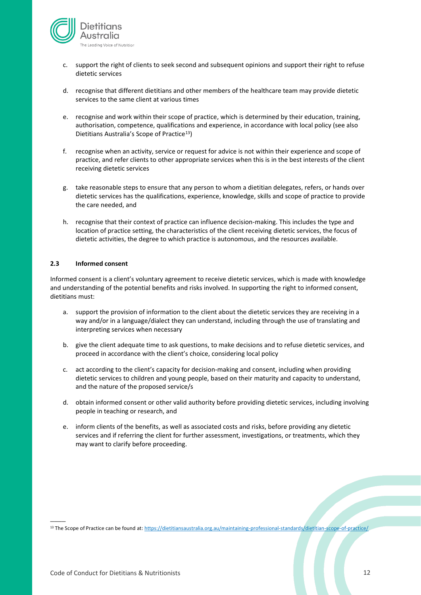

- c. support the right of clients to seek second and subsequent opinions and support their right to refuse dietetic services
- d. recognise that different dietitians and other members of the healthcare team may provide dietetic services to the same client at various times
- e. recognise and work within their scope of practice, which is determined by their education, training, authorisation, competence, qualifications and experience, in accordance with local policy (see also Dietitians Australia's Scope of Practice<sup>13</sup>)
- f. recognise when an activity, service or request for advice is not within their experience and scope of practice, and refer clients to other appropriate services when this is in the best interests of the client receiving dietetic services
- g. take reasonable steps to ensure that any person to whom a dietitian delegates, refers, or hands over dietetic services has the qualifications, experience, knowledge, skills and scope of practice to provide the care needed, and
- h. recognise that their context of practice can influence decision-making. This includes the type and location of practice setting, the characteristics of the client receiving dietetic services, the focus of dietetic activities, the degree to which practice is autonomous, and the resources available.

#### <span id="page-11-0"></span>**2.3 Informed consent**

Informed consent is a client's voluntary agreement to receive dietetic services, which is made with knowledge and understanding of the potential benefits and risks involved. In supporting the right to informed consent, dietitians must:

- a. support the provision of information to the client about the dietetic services they are receiving in a way and/or in a language/dialect they can understand, including through the use of translating and interpreting services when necessary
- b. give the client adequate time to ask questions, to make decisions and to refuse dietetic services, and proceed in accordance with the client's choice, considering local policy
- c. act according to the client's capacity for decision-making and consent, including when providing dietetic services to children and young people, based on their maturity and capacity to understand, and the nature of the proposed service/s
- d. obtain informed consent or other valid authority before providing dietetic services, including involving people in teaching or research, and
- e. inform clients of the benefits, as well as associated costs and risks, before providing any dietetic services and if referring the client for further assessment, investigations, or treatments, which they may want to clarify before proceeding.

<sup>13</sup> The Scope of Practice can be found at: <https://dietitiansaustralia.org.au/maintaining-professional-standards/dietitian-scope-of-practice/>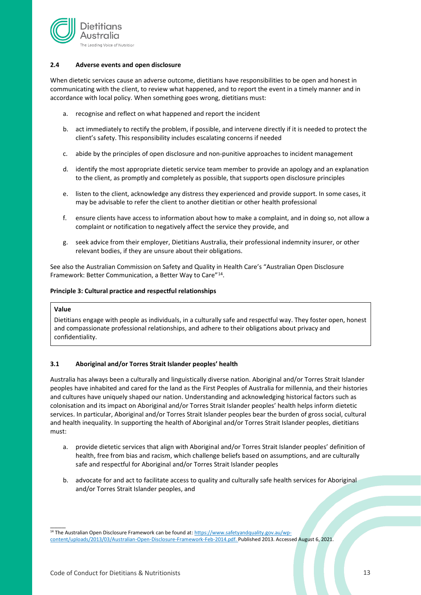

#### <span id="page-12-0"></span>**2.4 Adverse events and open disclosure**

When dietetic services cause an adverse outcome, dietitians have responsibilities to be open and honest in communicating with the client, to review what happened, and to report the event in a timely manner and in accordance with local policy. When something goes wrong, dietitians must:

- a. recognise and reflect on what happened and report the incident
- b. act immediately to rectify the problem, if possible, and intervene directly if it is needed to protect the client's safety. This responsibility includes escalating concerns if needed
- c. abide by the principles of open disclosure and non-punitive approaches to incident management
- d. identify the most appropriate dietetic service team member to provide an apology and an explanation to the client, as promptly and completely as possible, that supports open disclosure principles
- e. listen to the client, acknowledge any distress they experienced and provide support. In some cases, it may be advisable to refer the client to another dietitian or other health professional
- f. ensure clients have access to information about how to make a complaint, and in doing so, not allow a complaint or notification to negatively affect the service they provide, and
- g. seek advice from their employer, Dietitians Australia, their professional indemnity insurer, or other relevant bodies, if they are unsure about their obligations.

See also the Australian Commission on Safety and Quality in Health Care's "Australian Open Disclosure Framework: Better Communication, a Better Way to Care"<sup>14</sup>.

#### <span id="page-12-1"></span>**Principle 3: Cultural practice and respectful relationships**

#### **Value**

 $\overline{\phantom{a}}$ 

Dietitians engage with people as individuals, in a culturally safe and respectful way. They foster open, honest and compassionate professional relationships, and adhere to their obligations about privacy and confidentiality.

#### <span id="page-12-2"></span>**3.1 Aboriginal and/or Torres Strait Islander peoples' health**

Australia has always been a culturally and linguistically diverse nation. Aboriginal and/or Torres Strait Islander peoples have inhabited and cared for the land as the First Peoples of Australia for millennia, and their histories and cultures have uniquely shaped our nation. Understanding and acknowledging historical factors such as colonisation and its impact on Aboriginal and/or Torres Strait Islander peoples' health helps inform dietetic services. In particular, Aboriginal and/or Torres Strait Islander peoples bear the burden of gross social, cultural and health inequality. In supporting the health of Aboriginal and/or Torres Strait Islander peoples, dietitians must:

- a. provide dietetic services that align with Aboriginal and/or Torres Strait Islander peoples' definition of health, free from bias and racism, which challenge beliefs based on assumptions, and are culturally safe and respectful for Aboriginal and/or Torres Strait Islander peoples
- b. advocate for and act to facilitate access to quality and culturally safe health services for Aboriginal and/or Torres Strait Islander peoples, and

<sup>&</sup>lt;sup>14</sup> The Australian Open Disclosure Framework can be found at: [https://www.safetyandquality.gov.au/wp](https://www.safetyandquality.gov.au/wp-content/uploads/2013/03/Australian-Open-Disclosure-Framework-Feb-2014.pdf)[content/uploads/2013/03/Australian-Open-Disclosure-Framework-Feb-2014.pdf.](https://www.safetyandquality.gov.au/wp-content/uploads/2013/03/Australian-Open-Disclosure-Framework-Feb-2014.pdf) Published 2013. Accessed August 6, 2021.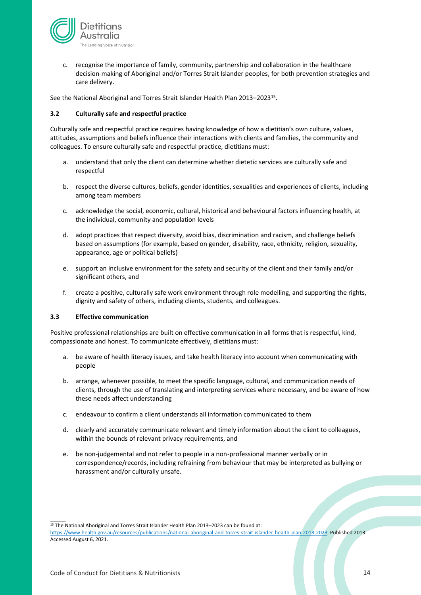

c. recognise the importance of family, community, partnership and collaboration in the healthcare decision-making of Aboriginal and/or Torres Strait Islander peoples, for both prevention strategies and care delivery.

See the National Aboriginal and Torres Strait Islander Health Plan 2013–2023<sup>15</sup>.

#### <span id="page-13-0"></span>**3.2 Culturally safe and respectful practice**

Culturally safe and respectful practice requires having knowledge of how a dietitian's own culture, values, attitudes, assumptions and beliefs influence their interactions with clients and families, the community and colleagues. To ensure culturally safe and respectful practice, dietitians must:

- a. understand that only the client can determine whether dietetic services are culturally safe and respectful
- b. respect the diverse cultures, beliefs, gender identities, sexualities and experiences of clients, including among team members
- c. acknowledge the social, economic, cultural, historical and behavioural factors influencing health, at the individual, community and population levels
- d. adopt practices that respect diversity, avoid bias, discrimination and racism, and challenge beliefs based on assumptions (for example, based on gender, disability, race, ethnicity, religion, sexuality, appearance, age or political beliefs)
- e. support an inclusive environment for the safety and security of the client and their family and/or significant others, and
- f. create a positive, culturally safe work environment through role modelling, and supporting the rights, dignity and safety of others, including clients, students, and colleagues.

#### <span id="page-13-1"></span>**3.3 Effective communication**

Positive professional relationships are built on effective communication in all forms that is respectful, kind, compassionate and honest. To communicate effectively, dietitians must:

- a. be aware of health literacy issues, and take health literacy into account when communicating with people
- b. arrange, whenever possible, to meet the specific language, cultural, and communication needs of clients, through the use of translating and interpreting services where necessary, and be aware of how these needs affect understanding
- c. endeavour to confirm a client understands all information communicated to them
- d. clearly and accurately communicate relevant and timely information about the client to colleagues, within the bounds of relevant privacy requirements, and
- e. be non-judgemental and not refer to people in a non-professional manner verbally or in correspondence/records, including refraining from behaviour that may be interpreted as bullying or harassment and/or culturally unsafe.

<sup>15</sup> The National Aboriginal and Torres Strait Islander Health Plan 2013–2023 can be found at: [https://www.health.gov.au/resources/publications/national-aboriginal-and-torres-strait-islander-health-plan-2013-2023.](https://www.health.gov.au/resources/publications/national-aboriginal-and-torres-strait-islander-health-plan-2013-2023) Published 2013. Accessed August 6, 2021.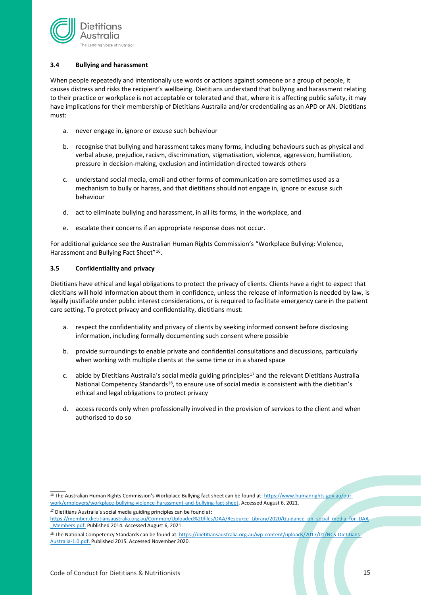

#### <span id="page-14-0"></span>**3.4 Bullying and harassment**

When people repeatedly and intentionally use words or actions against someone or a group of people, it causes distress and risks the recipient's wellbeing. Dietitians understand that bullying and harassment relating to their practice or workplace is not acceptable or tolerated and that, where it is affecting public safety, it may have implications for their membership of Dietitians Australia and/or credentialing as an APD or AN. Dietitians must:

- a. never engage in, ignore or excuse such behaviour
- b. recognise that bullying and harassment takes many forms, including behaviours such as physical and verbal abuse, prejudice, racism, discrimination, stigmatisation, violence, aggression, humiliation, pressure in decision-making, exclusion and intimidation directed towards others
- c. understand social media, email and other forms of communication are sometimes used as a mechanism to bully or harass, and that dietitians should not engage in, ignore or excuse such behaviour
- d. act to eliminate bullying and harassment, in all its forms, in the workplace, and
- e. escalate their concerns if an appropriate response does not occur.

For additional guidance see the Australian Human Rights Commission's "Workplace Bullying: Violence, Harassment and Bullying Fact Sheet"<sup>16</sup>.

#### <span id="page-14-1"></span>**3.5 Confidentiality and privacy**

Dietitians have ethical and legal obligations to protect the privacy of clients. Clients have a right to expect that dietitians will hold information about them in confidence, unless the release of information is needed by law, is legally justifiable under public interest considerations, or is required to facilitate emergency care in the patient care setting. To protect privacy and confidentiality, dietitians must:

- a. respect the confidentiality and privacy of clients by seeking informed consent before disclosing information, including formally documenting such consent where possible
- b. provide surroundings to enable private and confidential consultations and discussions, particularly when working with multiple clients at the same time or in a shared space
- c. abide by Dietitians Australia's social media guiding principles<sup>17</sup> and the relevant Dietitians Australia National Competency Standards<sup>18</sup>, to ensure use of social media is consistent with the dietitian's ethical and legal obligations to protect privacy
- d. access records only when professionally involved in the provision of services to the client and when authorised to do so

<sup>&</sup>lt;sup>16</sup> The Australian Human Rights Commission's Workplace Bullying fact sheet can be found at: [https://www.humanrights.gov.au/our](https://www.humanrights.gov.au/our-work/employers/workplace-bullying-violence-harassment-and-bullying-fact-sheet)[work/employers/workplace-bullying-violence-harassment-and-bullying-fact-sheet.](https://www.humanrights.gov.au/our-work/employers/workplace-bullying-violence-harassment-and-bullying-fact-sheet) Accessed August 6, 2021.

<sup>&</sup>lt;sup>17</sup> Dietitians Australia's social media guiding principles can be found at:

[https://member.dietitiansaustralia.org.au/Common/Uploaded%20files/DAA/Resource\\_Library/2020/Guidance\\_on\\_social\\_media\\_for\\_DAA](https://member.dietitiansaustralia.org.au/Common/Uploaded%20files/DAA/Resource_Library/2020/Guidance_on_social_media_for_DAA_Members.pdf) [\\_Members.pdf.](https://member.dietitiansaustralia.org.au/Common/Uploaded%20files/DAA/Resource_Library/2020/Guidance_on_social_media_for_DAA_Members.pdf) Published 2014. Accessed August 6, 2021.

<sup>18</sup> The National Competency Standards can be found at: [https://dietitiansaustralia.org.au/wp-content/uploads/2017/01/NCS-Dietitians-](https://dietitiansaustralia.org.au/wp-content/uploads/2017/01/NCS-Dietitians-Australia-1.0.pdf)[Australia-1.0.pdf.](https://dietitiansaustralia.org.au/wp-content/uploads/2017/01/NCS-Dietitians-Australia-1.0.pdf) Published 2015. Accessed November 2020.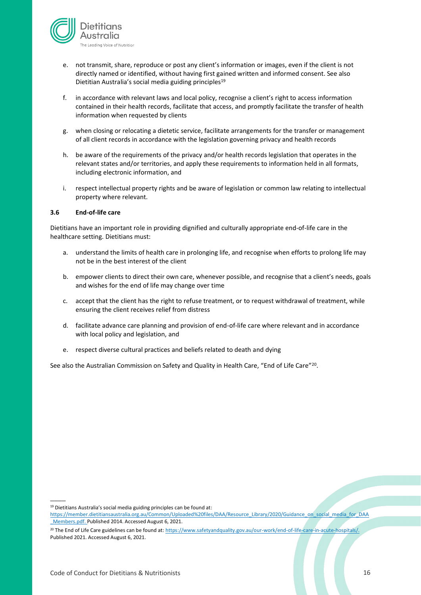

- e. not transmit, share, reproduce or post any client's information or images, even if the client is not directly named or identified, without having first gained written and informed consent. See also Dietitian Australia's social media guiding principles<sup>19</sup>
- f. in accordance with relevant laws and local policy, recognise a client's right to access information contained in their health records, facilitate that access, and promptly facilitate the transfer of health information when requested by clients
- g. when closing or relocating a dietetic service, facilitate arrangements for the transfer or management of all client records in accordance with the legislation governing privacy and health records
- h. be aware of the requirements of the privacy and/or health records legislation that operates in the relevant states and/or territories, and apply these requirements to information held in all formats, including electronic information, and
- i. respect intellectual property rights and be aware of legislation or common law relating to intellectual property where relevant.

#### <span id="page-15-0"></span>**3.6 End-of-life care**

Dietitians have an important role in providing dignified and culturally appropriate end-of-life care in the healthcare setting. Dietitians must:

- a. understand the limits of health care in prolonging life, and recognise when efforts to prolong life may not be in the best interest of the client
- b. empower clients to direct their own care, whenever possible, and recognise that a client's needs, goals and wishes for the end of life may change over time
- c. accept that the client has the right to refuse treatment, or to request withdrawal of treatment, while ensuring the client receives relief from distress
- d. facilitate advance care planning and provision of end-of-life care where relevant and in accordance with local policy and legislation, and
- e. respect diverse cultural practices and beliefs related to death and dying

See also the Australian Commission on Safety and Quality in Health Care, "End of Life Care"<sup>20</sup>.

<sup>&</sup>lt;sup>19</sup> Dietitians Australia's social media guiding principles can be found at: [https://member.dietitiansaustralia.org.au/Common/Uploaded%20files/DAA/Resource\\_Library/2020/Guidance\\_on\\_social\\_media\\_for\\_DAA](https://member.dietitiansaustralia.org.au/Common/Uploaded%20files/DAA/Resource_Library/2020/Guidance_on_social_media_for_DAA_Members.pdf) [\\_Members.pdf.](https://member.dietitiansaustralia.org.au/Common/Uploaded%20files/DAA/Resource_Library/2020/Guidance_on_social_media_for_DAA_Members.pdf) Published 2014. Accessed August 6, 2021.

<sup>&</sup>lt;sup>20</sup> The End of Life Care guidelines can be found at: https://www.safetyandquality.gov.au/our-work/end-of-life-care-in-acute-hospitals/. Published 2021. Accessed August 6, 2021.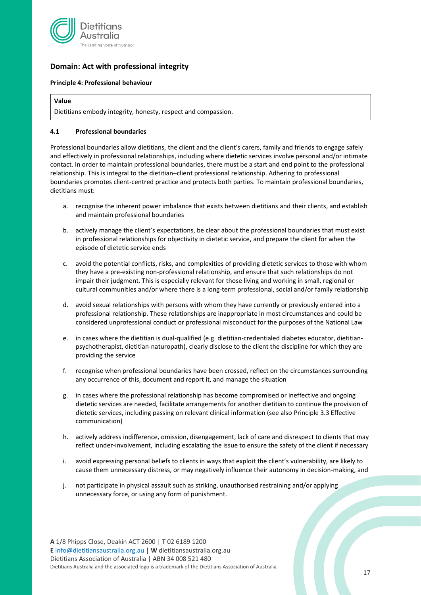

# <span id="page-16-0"></span>**Domain: Act with professional integrity**

#### <span id="page-16-1"></span>**Principle 4: Professional behaviour**

#### **Value**

Dietitians embody integrity, honesty, respect and compassion.

#### <span id="page-16-2"></span>**4.1 Professional boundaries**

Professional boundaries allow dietitians, the client and the client's carers, family and friends to engage safely and effectively in professional relationships, including where dietetic services involve personal and/or intimate contact. In order to maintain professional boundaries, there must be a start and end point to the professional relationship. This is integral to the dietitian–client professional relationship. Adhering to professional boundaries promotes client-centred practice and protects both parties. To maintain professional boundaries, dietitians must:

- a. recognise the inherent power imbalance that exists between dietitians and their clients, and establish and maintain professional boundaries
- b. actively manage the client's expectations, be clear about the professional boundaries that must exist in professional relationships for objectivity in dietetic service, and prepare the client for when the episode of dietetic service ends
- c. avoid the potential conflicts, risks, and complexities of providing dietetic services to those with whom they have a pre-existing non-professional relationship, and ensure that such relationships do not impair their judgment. This is especially relevant for those living and working in small, regional or cultural communities and/or where there is a long-term professional, social and/or family relationship
- d. avoid sexual relationships with persons with whom they have currently or previously entered into a professional relationship. These relationships are inappropriate in most circumstances and could be considered unprofessional conduct or professional misconduct for the purposes of the National Law
- e. in cases where the dietitian is dual-qualified (e.g. dietitian-credentialed diabetes educator, dietitianpsychotherapist, dietitian-naturopath), clearly disclose to the client the discipline for which they are providing the service
- f. recognise when professional boundaries have been crossed, reflect on the circumstances surrounding any occurrence of this, document and report it, and manage the situation
- g. in cases where the professional relationship has become compromised or ineffective and ongoing dietetic services are needed, facilitate arrangements for another dietitian to continue the provision of dietetic services, including passing on relevant clinical information (see also Principle 3.3 Effective communication)
- h. actively address indifference, omission, disengagement, lack of care and disrespect to clients that may reflect under-involvement, including escalating the issue to ensure the safety of the client if necessary
- i. avoid expressing personal beliefs to clients in ways that exploit the client's vulnerability, are likely to cause them unnecessary distress, or may negatively influence their autonomy in decision-making, and
- j. not participate in physical assault such as striking, unauthorised restraining and/or applying unnecessary force, or using any form of punishment.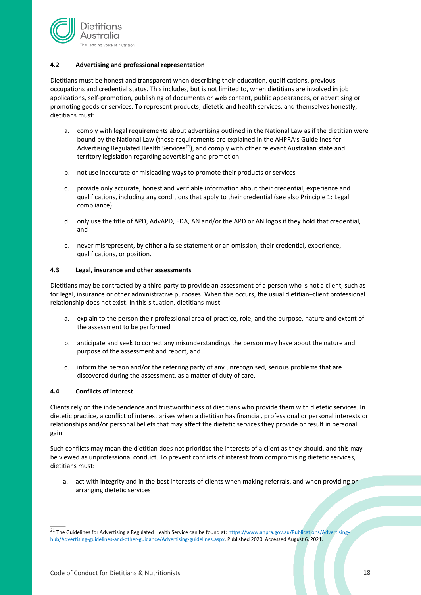

#### <span id="page-17-0"></span>**4.2 Advertising and professional representation**

Dietitians must be honest and transparent when describing their education, qualifications, previous occupations and credential status. This includes, but is not limited to, when dietitians are involved in job applications, self-promotion, publishing of documents or web content, public appearances, or advertising or promoting goods or services. To represent products, dietetic and health services, and themselves honestly, dietitians must:

- a. comply with legal requirements about advertising outlined in the National Law as if the dietitian were bound by the National Law (those requirements are explained in the AHPRA's Guidelines for Advertising Regulated Health Services<sup>21</sup>), and comply with other relevant Australian state and territory legislation regarding advertising and promotion
- b. not use inaccurate or misleading ways to promote their products or services
- c. provide only accurate, honest and verifiable information about their credential, experience and qualifications, including any conditions that apply to their credential (see also Principle 1: Legal compliance)
- d. only use the title of APD, AdvAPD, FDA, AN and/or the APD or AN logos if they hold that credential, and
- e. never misrepresent, by either a false statement or an omission, their credential, experience, qualifications, or position.

#### <span id="page-17-1"></span>**4.3 Legal, insurance and other assessments**

Dietitians may be contracted by a third party to provide an assessment of a person who is not a client, such as for legal, insurance or other administrative purposes. When this occurs, the usual dietitian–client professional relationship does not exist. In this situation, dietitians must:

- a. explain to the person their professional area of practice, role, and the purpose, nature and extent of the assessment to be performed
- b. anticipate and seek to correct any misunderstandings the person may have about the nature and purpose of the assessment and report, and
- c. inform the person and/or the referring party of any unrecognised, serious problems that are discovered during the assessment, as a matter of duty of care.

#### <span id="page-17-2"></span>**4.4 Conflicts of interest**

 $\overline{\phantom{a}}$ 

Clients rely on the independence and trustworthiness of dietitians who provide them with dietetic services. In dietetic practice, a conflict of interest arises when a dietitian has financial, professional or personal interests or relationships and/or personal beliefs that may affect the dietetic services they provide or result in personal gain.

Such conflicts may mean the dietitian does not prioritise the interests of a client as they should, and this may be viewed as unprofessional conduct. To prevent conflicts of interest from compromising dietetic services, dietitians must:

a. act with integrity and in the best interests of clients when making referrals, and when providing or arranging dietetic services

<sup>&</sup>lt;sup>21</sup> The Guidelines for Advertising a Regulated Health Service can be found at[: https://www.ahpra.gov.au/Publications/Advertising](https://www.ahpra.gov.au/Publications/Advertising-hub/Advertising-guidelines-and-other-guidance/Advertising-guidelines.aspx)[hub/Advertising-guidelines-and-other-guidance/Advertising-guidelines.aspx.](https://www.ahpra.gov.au/Publications/Advertising-hub/Advertising-guidelines-and-other-guidance/Advertising-guidelines.aspx) Published 2020. Accessed August 6, 2021.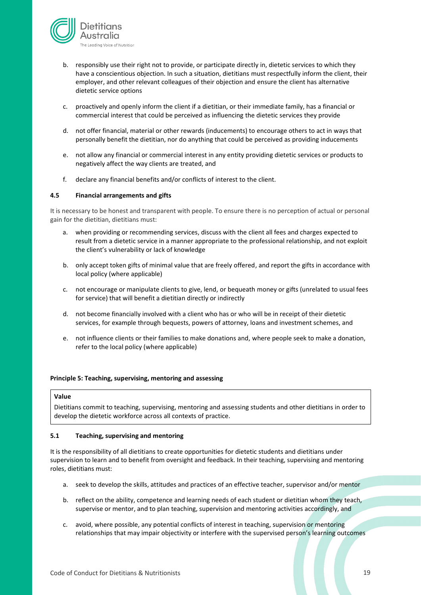

- b. responsibly use their right not to provide, or participate directly in, dietetic services to which they have a conscientious objection. In such a situation, dietitians must respectfully inform the client, their employer, and other relevant colleagues of their objection and ensure the client has alternative dietetic service options
- c. proactively and openly inform the client if a dietitian, or their immediate family, has a financial or commercial interest that could be perceived as influencing the dietetic services they provide
- d. not offer financial, material or other rewards (inducements) to encourage others to act in ways that personally benefit the dietitian, nor do anything that could be perceived as providing inducements
- e. not allow any financial or commercial interest in any entity providing dietetic services or products to negatively affect the way clients are treated, and
- f. declare any financial benefits and/or conflicts of interest to the client.

#### <span id="page-18-0"></span>**4.5 Financial arrangements and gifts**

It is necessary to be honest and transparent with people. To ensure there is no perception of actual or personal gain for the dietitian, dietitians must:

- a. when providing or recommending services, discuss with the client all fees and charges expected to result from a dietetic service in a manner appropriate to the professional relationship, and not exploit the client's vulnerability or lack of knowledge
- b. only accept token gifts of minimal value that are freely offered, and report the gifts in accordance with local policy (where applicable)
- c. not encourage or manipulate clients to give, lend, or bequeath money or gifts (unrelated to usual fees for service) that will benefit a dietitian directly or indirectly
- d. not become financially involved with a client who has or who will be in receipt of their dietetic services, for example through bequests, powers of attorney, loans and investment schemes, and
- e. not influence clients or their families to make donations and, where people seek to make a donation, refer to the local policy (where applicable)

#### <span id="page-18-1"></span>**Principle 5: Teaching, supervising, mentoring and assessing**

#### **Value**

Dietitians commit to teaching, supervising, mentoring and assessing students and other dietitians in order to develop the dietetic workforce across all contexts of practice.

#### <span id="page-18-2"></span>**5.1 Teaching, supervising and mentoring**

It is the responsibility of all dietitians to create opportunities for dietetic students and dietitians under supervision to learn and to benefit from oversight and feedback. In their teaching, supervising and mentoring roles, dietitians must:

- a. seek to develop the skills, attitudes and practices of an effective teacher, supervisor and/or mentor
- b. reflect on the ability, competence and learning needs of each student or dietitian whom they teach, supervise or mentor, and to plan teaching, supervision and mentoring activities accordingly, and
- c. avoid, where possible, any potential conflicts of interest in teaching, supervision or mentoring relationships that may impair objectivity or interfere with the supervised person's learning outcomes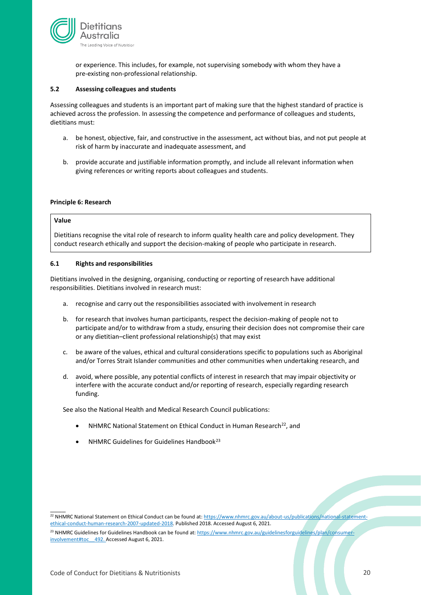

or experience. This includes, for example, not supervising somebody with whom they have a pre-existing non-professional relationship.

#### <span id="page-19-0"></span>**5.2 Assessing colleagues and students**

Assessing colleagues and students is an important part of making sure that the highest standard of practice is achieved across the profession. In assessing the competence and performance of colleagues and students, dietitians must:

- a. be honest, objective, fair, and constructive in the assessment, act without bias, and not put people at risk of harm by inaccurate and inadequate assessment, and
- b. provide accurate and justifiable information promptly, and include all relevant information when giving references or writing reports about colleagues and students.

#### <span id="page-19-1"></span>**Principle 6: Research**

#### **Value**

 $\overline{\phantom{a}}$ 

Dietitians recognise the vital role of research to inform quality health care and policy development. They conduct research ethically and support the decision-making of people who participate in research.

#### <span id="page-19-2"></span>**6.1 Rights and responsibilities**

Dietitians involved in the designing, organising, conducting or reporting of research have additional responsibilities. Dietitians involved in research must:

- a. recognise and carry out the responsibilities associated with involvement in research
- b. for research that involves human participants, respect the decision-making of people not to participate and/or to withdraw from a study, ensuring their decision does not compromise their care or any dietitian–client professional relationship(s) that may exist
- c. be aware of the values, ethical and cultural considerations specific to populations such as Aboriginal and/or Torres Strait Islander communities and other communities when undertaking research, and
- d. avoid, where possible, any potential conflicts of interest in research that may impair objectivity or interfere with the accurate conduct and/or reporting of research, especially regarding research funding.

See also the National Health and Medical Research Council publications:

- NHMRC National Statement on Ethical Conduct in Human Research<sup>22</sup>, and
- NHMRC Guidelines for Guidelines Handbook<sup>23</sup>

<sup>22</sup> NHMRC National Statement on Ethical Conduct can be found at[: https://www.nhmrc.gov.au/about-us/publications/national-statement](https://www.nhmrc.gov.au/about-us/publications/national-statement-ethical-conduct-human-research-2007-updated-2018)[ethical-conduct-human-research-2007-updated-2018.](https://www.nhmrc.gov.au/about-us/publications/national-statement-ethical-conduct-human-research-2007-updated-2018) Published 2018. Accessed August 6, 2021.

<sup>23</sup> NHMRC Guidelines for Guidelines Handbook can be found at[: https://www.nhmrc.gov.au/guidelinesforguidelines/plan/consumer](https://www.nhmrc.gov.au/guidelinesforguidelines/plan/consumer-involvement#toc__492)[involvement#toc\\_\\_492.](https://www.nhmrc.gov.au/guidelinesforguidelines/plan/consumer-involvement#toc__492) Accessed August 6, 2021.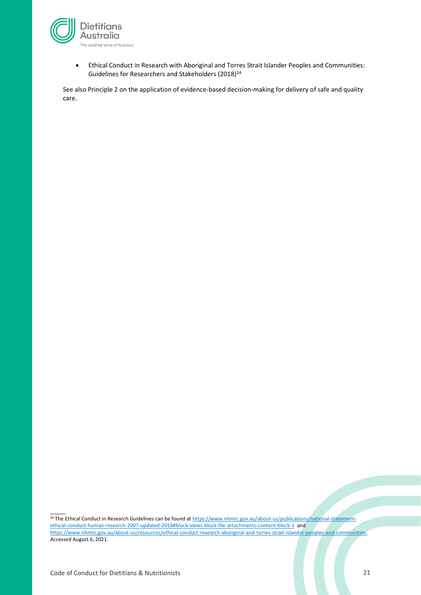

• Ethical Conduct in Research with Aboriginal and Torres Strait Islander Peoples and Communities: Guidelines for Researchers and Stakeholders (2018)<sup>24</sup>

See also Principle 2 on the application of evidence-based decision-making for delivery of safe and quality care.

<sup>24</sup> The Ethical Conduct in Research Guidelines can be found a[t https://www.nhmrc.gov.au/about-us/publications/national-statement](https://www.nhmrc.gov.au/about-us/publications/national-statement-ethical-conduct-human-research-2007-updated-2018#block-views-block-file-attachments-content-block-1)[ethical-conduct-human-research-2007-updated-2018#block-views-block-file-attachments-content-block-1](https://www.nhmrc.gov.au/about-us/publications/national-statement-ethical-conduct-human-research-2007-updated-2018#block-views-block-file-attachments-content-block-1) and [https://www.nhmrc.gov.au/about-us/resources/ethical-conduct-research-aboriginal-and-torres-strait-islander-peoples-and-communities.](https://www.nhmrc.gov.au/about-us/resources/ethical-conduct-research-aboriginal-and-torres-strait-islander-peoples-and-communities)  Accessed August 6, 2021.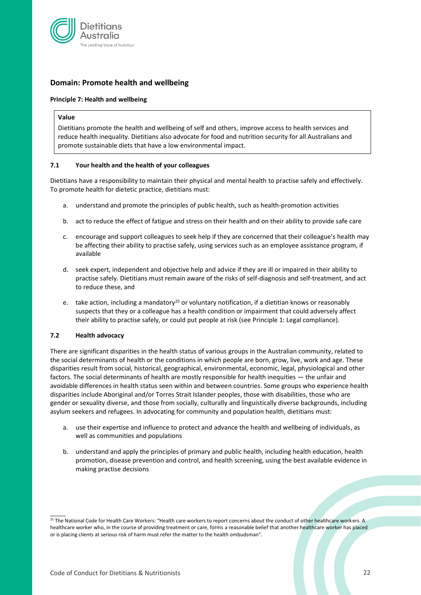

# <span id="page-21-0"></span>**Domain: Promote health and wellbeing**

#### <span id="page-21-1"></span>**Principle 7: Health and wellbeing**

#### **Value**

Dietitians promote the health and wellbeing of self and others, improve access to health services and reduce health inequality. Dietitians also advocate for food and nutrition security for all Australians and promote sustainable diets that have a low environmental impact.

#### <span id="page-21-2"></span>**7.1 Your health and the health of your colleagues**

Dietitians have a responsibility to maintain their physical and mental health to practise safely and effectively. To promote health for dietetic practice, dietitians must:

- a. understand and promote the principles of public health, such as health-promotion activities
- b. act to reduce the effect of fatigue and stress on their health and on their ability to provide safe care
- c. encourage and support colleagues to seek help if they are concerned that their colleague's health may be affecting their ability to practise safely, using services such as an employee assistance program, if available
- d. seek expert, independent and objective help and advice if they are ill or impaired in their ability to practise safely. Dietitians must remain aware of the risks of self-diagnosis and self-treatment, and act to reduce these, and
- e. take action, including a mandatory<sup>25</sup> or voluntary notification, if a dietitian knows or reasonably suspects that they or a colleague has a health condition or impairment that could adversely affect their ability to practise safely, or could put people at risk (see Principle 1: Legal compliance).

#### <span id="page-21-3"></span>**7.2 Health advocacy**

 $\overline{\phantom{a}}$ 

There are significant disparities in the health status of various groups in the Australian community, related to the social determinants of health or the conditions in which people are born, grow, live, work and age. These disparities result from social, historical, geographical, environmental, economic, legal, physiological and other factors. The social determinants of health are mostly responsible for health inequities — the unfair and avoidable differences in health status seen within and between countries. Some groups who experience health disparities include Aboriginal and/or Torres Strait Islander peoples, those with disabilities, those who are gender or sexuality diverse, and those from socially, culturally and linguistically diverse backgrounds, including asylum seekers and refugees. In advocating for community and population health, dietitians must:

- a. use their expertise and influence to protect and advance the health and wellbeing of individuals, as well as communities and populations
- b. understand and apply the principles of primary and public health, including health education, health promotion, disease prevention and control, and health screening, using the best available evidence in making practise decisions

<sup>&</sup>lt;sup>25</sup> The National Code for Health Care Workers: "Health care workers to report concerns about the conduct of other healthcare workers. A healthcare worker who, in the course of providing treatment or care, forms a reasonable belief that another healthcare worker has placed or is placing clients at serious risk of harm must refer the matter to the health ombudsman".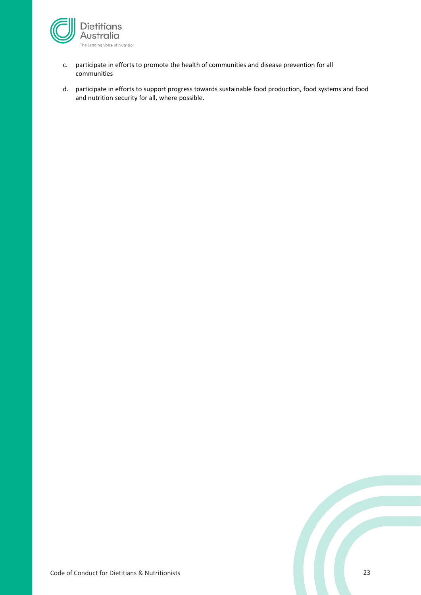

- c. participate in efforts to promote the health of communities and disease prevention for all communities
- d. participate in efforts to support progress towards sustainable food production, food systems and food and nutrition security for all, where possible.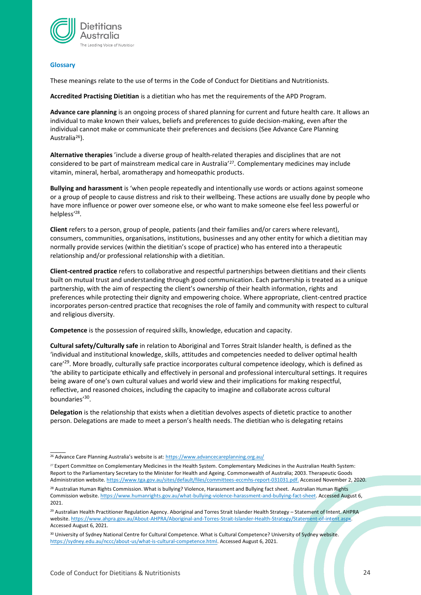

#### <span id="page-23-0"></span>**Glossary**

 $\overline{\phantom{a}}$ 

These meanings relate to the use of terms in the Code of Conduct for Dietitians and Nutritionists*.*

**Accredited Practising Dietitian** is a dietitian who has met the requirements of the APD Program.

**Advance care planning** is an ongoing process of shared planning for current and future health care. It allows an individual to make known their values, beliefs and preferences to guide decision-making, even after the individual cannot make or communicate their preferences and decisions (See Advance Care Planning Australia<sup>26</sup>).

**Alternative therapies** 'include a diverse group of health-related therapies and disciplines that are not considered to be part of mainstream medical care in Australia'<sup>27</sup>. Complementary medicines may include vitamin, mineral, herbal, aromatherapy and homeopathic products.

**Bullying and harassment** is 'when people repeatedly and intentionally use words or actions against someone or a group of people to cause distress and risk to their wellbeing. These actions are usually done by people who have more influence or power over someone else, or who want to make someone else feel less powerful or helpless'<sup>28</sup>.

**Client** refers to a person, group of people, patients (and their families and/or carers where relevant), consumers, communities, organisations, institutions, businesses and any other entity for which a dietitian may normally provide services (within the dietitian's scope of practice) who has entered into a therapeutic relationship and/or professional relationship with a dietitian.

**Client-centred practice** refers to collaborative and respectful partnerships between dietitians and their clients built on mutual trust and understanding through good communication. Each partnership is treated as a unique partnership, with the aim of respecting the client's ownership of their health information, rights and preferences while protecting their dignity and empowering choice. Where appropriate, client-centred practice incorporates person-centred practice that recognises the role of family and community with respect to cultural and religious diversity.

**Competence** is the possession of required skills, knowledge, education and capacity.

**Cultural safety/Culturally safe** in relation to Aboriginal and Torres Strait Islander health, is defined as the 'individual and institutional knowledge, skills, attitudes and competencies needed to deliver optimal health care'<sup>29</sup>. More broadly, culturally safe practice incorporates cultural competence ideology, which is defined as 'the ability to participate ethically and effectively in personal and professional intercultural settings. It requires being aware of one's own cultural values and world view and their implications for making respectful, reflective, and reasoned choices, including the capacity to imagine and collaborate across cultural boundaries'<sup>30</sup>.

**Delegation** is the relationship that exists when a dietitian devolves aspects of dietetic practice to another person. Delegations are made to meet a person's health needs. The dietitian who is delegating retains

<sup>29</sup> Australian Health Practitioner Regulation Agency. Aboriginal and Torres Strait Islander Health Strategy – Statement of Intent. AHPRA website[. https://www.ahpra.gov.au/About-AHPRA/Aboriginal-and-Torres-Strait-Islander-Health-Strategy/Statement-of-intent.aspx.](https://www.ahpra.gov.au/About-AHPRA/Aboriginal-and-Torres-Strait-Islander-Health-Strategy/Statement-of-intent.aspx) Accessed August 6, 2021.

<sup>&</sup>lt;sup>26</sup> Advance Care Planning Australia's website is at: <https://www.advancecareplanning.org.au/>

<sup>&</sup>lt;sup>27</sup> Expert Committee on Complementary Medicines in the Health System. Complementary Medicines in the Australian Health System: Report to the Parliamentary Secretary to the Minister for Health and Ageing. Commonwealth of Australia; 2003. Therapeutic Goods Administration website[. https://www.tga.gov.au/sites/default/files/committees-eccmhs-report-031031.pdf.](https://www.tga.gov.au/sites/default/files/committees-eccmhs-report-031031.pdf) Accessed November 2, 2020.

<sup>&</sup>lt;sup>28</sup> Australian Human Rights Commission. What is bullying? Violence, Harassment and Bullying fact sheet. Australian Human Rights Commission website[. https://www.humanrights.gov.au/what-bullying-violence-harassment-and-bullying-fact-sheet.](https://www.humanrights.gov.au/what-bullying-violence-harassment-and-bullying-fact-sheet) Accessed August 6, 2021.

<sup>30</sup> University of Sydney National Centre for Cultural Competence. What is Cultural Competence? University of Sydney website. [https://sydney.edu.au/nccc/about-us/what-is-cultural-competence.html.](https://sydney.edu.au/nccc/about-us/what-is-cultural-competence.html) Accessed August 6, 2021.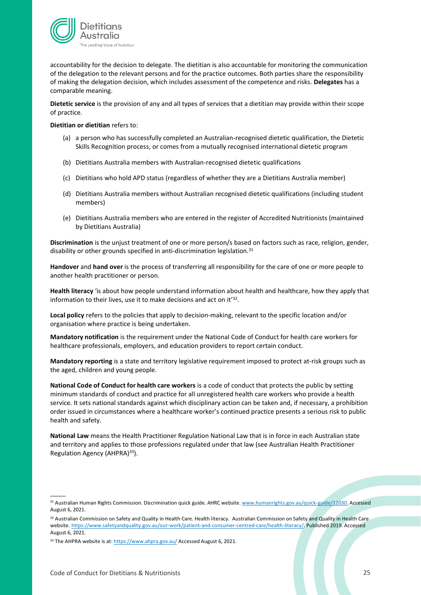

accountability for the decision to delegate. The dietitian is also accountable for monitoring the communication of the delegation to the relevant persons and for the practice outcomes. Both parties share the responsibility of making the delegation decision, which includes assessment of the competence and risks. **Delegates** has a comparable meaning.

**Dietetic service** is the provision of any and all types of services that a dietitian may provide within their scope of practice.

#### **Dietitian or dietitian** refers to:

- (a) a person who has successfully completed an Australian-recognised dietetic qualification, the Dietetic Skills Recognition process, or comes from a mutually recognised international dietetic program
- (b) Dietitians Australia members with Australian-recognised dietetic qualifications
- (c) Dietitians who hold APD status (regardless of whether they are a Dietitians Australia member)
- (d) Dietitians Australia members without Australian recognised dietetic qualifications (including student members)
- (e) Dietitians Australia members who are entered in the register of Accredited Nutritionists (maintained by Dietitians Australia)

**Discrimination** is the unjust treatment of one or more person/s based on factors such as race, religion, gender, disability or other grounds specified in anti-discrimination legislation.<sup>31</sup>

**Handover** and **hand over** is the process of transferring all responsibility for the care of one or more people to another health practitioner or person.

**Health literacy** 'is about how people understand information about health and healthcare, how they apply that information to their lives, use it to make decisions and act on it<sup>'32</sup>.

**Local policy** refers to the policies that apply to decision-making, relevant to the specific location and/or organisation where practice is being undertaken.

**Mandatory notification** is the requirement under the National Code of Conduct for health care workers for healthcare professionals, employers, and education providers to report certain conduct.

**Mandatory reporting** is a state and territory legislative requirement imposed to protect at-risk groups such as the aged, children and young people.

**National Code of Conduct for health care workers** is a code of conduct that protects the public by setting minimum standards of conduct and practice for all unregistered health care workers who provide a health service. It sets national standards against which disciplinary action can be taken and, if necessary, a prohibition order issued in circumstances where a healthcare worker's continued practice presents a serious risk to public health and safety.

**National Law** means the Health Practitioner Regulation National Law that is in force in each Australian state and territory and applies to those professions regulated under that law (see Australian Health Practitioner Regulation Agency (AHPRA)<sup>33</sup>).

<sup>31</sup> Australian Human Rights Commission. Discrimination quick guide. AHRC website. [www.humanrights.gov.au/quick-guide/12030.](http://www.humanrights.gov.au/quick-guide/12030) Accessed August 6, 2021.

<sup>32</sup> Australian Commission on Safety and Quality in Health Care. Health literacy*.* Australian Commission on Safety and Quality in Health Care website. [https://www.safetyandquality.gov.au/our-work/patient-and-consumer-centred-care/health-literacy/.](https://www.safetyandquality.gov.au/our-work/patient-and-consumer-centred-care/health-literacy/) Published 2019. Accessed August 6, 2021.

<sup>33</sup> The AHPRA website is at: <https://www.ahpra.gov.au/> Accessed August 6, 2021.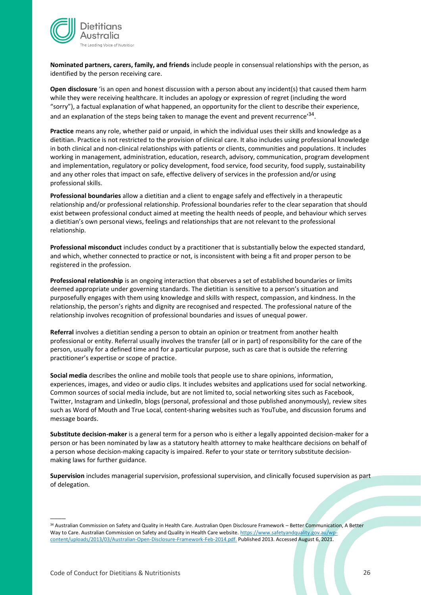

**Nominated partners, carers, family, and friends** include people in consensual relationships with the person, as identified by the person receiving care.

**Open disclosure** 'is an open and honest discussion with a person about any incident(s) that caused them harm while they were receiving healthcare. It includes an apology or expression of regret (including the word "sorry"), a factual explanation of what happened, an opportunity for the client to describe their experience, and an explanation of the steps being taken to manage the event and prevent recurrence'<sup>34</sup>.

**Practice** means any role, whether paid or unpaid, in which the individual uses their skills and knowledge as a dietitian. Practice is not restricted to the provision of clinical care. It also includes using professional knowledge in both clinical and non-clinical relationships with patients or clients, communities and populations. It includes working in management, administration, education, research, advisory, communication, program development and implementation, regulatory or policy development, food service, food security, food supply, sustainability and any other roles that impact on safe, effective delivery of services in the profession and/or using professional skills.

**Professional boundaries** allow a dietitian and a client to engage safely and effectively in a therapeutic relationship and/or professional relationship. Professional boundaries refer to the clear separation that should exist between professional conduct aimed at meeting the health needs of people, and behaviour which serves a dietitian's own personal views, feelings and relationships that are not relevant to the professional relationship.

**Professional misconduct** includes conduct by a practitioner that is substantially below the expected standard, and which, whether connected to practice or not, is inconsistent with being a fit and proper person to be registered in the profession.

**Professional relationship** is an ongoing interaction that observes a set of established boundaries or limits deemed appropriate under governing standards. The dietitian is sensitive to a person's situation and purposefully engages with them using knowledge and skills with respect, compassion, and kindness. In the relationship, the person's rights and dignity are recognised and respected. The professional nature of the relationship involves recognition of professional boundaries and issues of unequal power.

**Referral** involves a dietitian sending a person to obtain an opinion or treatment from another health professional or entity. Referral usually involves the transfer (all or in part) of responsibility for the care of the person, usually for a defined time and for a particular purpose, such as care that is outside the referring practitioner's expertise or scope of practice.

**Social media** describes the online and mobile tools that people use to share opinions, information, experiences, images, and video or audio clips. It includes websites and applications used for social networking. Common sources of social media include, but are not limited to, social networking sites such as Facebook, Twitter, Instagram and LinkedIn, blogs (personal, professional and those published anonymously), review sites such as Word of Mouth and True Local, content-sharing websites such as YouTube, and discussion forums and message boards.

**Substitute decision-maker** is a general term for a person who is either a legally appointed decision-maker for a person or has been nominated by law as a statutory health attorney to make healthcare decisions on behalf of a person whose decision-making capacity is impaired. Refer to your state or territory substitute decisionmaking laws for further guidance.

**Supervision** includes managerial supervision, professional supervision, and clinically focused supervision as part of delegation.

<sup>34</sup> Australian Commission on Safety and Quality in Health Care. Australian Open Disclosure Framework – Better Communication, A Better Way to Care. Australian Commission on Safety and Quality in Health Care website. [https://www.safetyandquality.gov.au/wp](https://www.safetyandquality.gov.au/wp-content/uploads/2013/03/Australian-Open-Disclosure-Framework-Feb-2014.pdf)[content/uploads/2013/03/Australian-Open-Disclosure-Framework-Feb-2014.pdf.](https://www.safetyandquality.gov.au/wp-content/uploads/2013/03/Australian-Open-Disclosure-Framework-Feb-2014.pdf) Published 2013. Accessed August 6, 2021.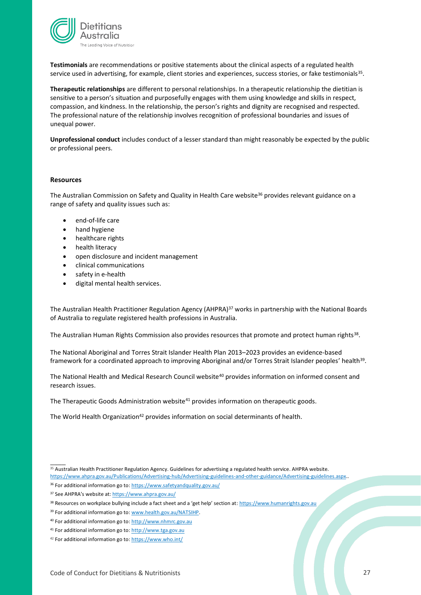

**Testimonials** are recommendations or positive statements about the clinical aspects of a regulated health service used in advertising, for example, client stories and experiences, success stories, or fake testimonials<sup>35</sup>.

**Therapeutic relationships** are different to personal relationships. In a therapeutic relationship the dietitian is sensitive to a person's situation and purposefully engages with them using knowledge and skills in respect, compassion, and kindness. In the relationship, the person's rights and dignity are recognised and respected. The professional nature of the relationship involves recognition of professional boundaries and issues of unequal power.

**Unprofessional conduct** includes conduct of a lesser standard than might reasonably be expected by the public or professional peers.

#### <span id="page-26-0"></span>**Resources**

The Australian Commission on Safety and Quality in Health Care website<sup>36</sup> provides relevant guidance on a range of safety and quality issues such as:

- end-of-life care
- hand hygiene
- healthcare rights
- health literacy
- open disclosure and incident management
- clinical communications
- safety in e-health
- digital mental health services.

The Australian Health Practitioner Regulation Agency (AHPRA)<sup>37</sup> works in partnership with the National Boards of Australia to regulate registered health professions in Australia.

The Australian Human Rights Commission also provides resources that promote and protect human rights<sup>38</sup>.

The National Aboriginal and Torres Strait Islander Health Plan 2013–2023 provides an evidence-based framework for a coordinated approach to improving Aboriginal and/or Torres Strait Islander peoples' health $^{39}$ .

The National Health and Medical Research Council website<sup>40</sup> provides information on informed consent and research issues.

The Therapeutic Goods Administration website<sup>41</sup> provides information on therapeutic goods.

The World Health Organization<sup>42</sup> provides information on social determinants of health.

- 36 For additional information go to: <https://www.safetyandquality.gov.au/>
- 37 See AHPRA's website at[: https://www.ahpra.gov.au/](https://www.ahpra.gov.au/)

<sup>&</sup>lt;sup>35</sup> Australian Health Practitioner Regulation Agency. Guidelines for advertising a regulated health service. AHPRA website. [https://www.ahpra.gov.au/Publications/Advertising-hub/Advertising-guidelines-and-other-guidance/Advertising-guidelines.aspx.](https://www.ahpra.gov.au/Publications/Advertising-hub/Advertising-guidelines-and-other-guidance/Advertising-guidelines.aspx).

<sup>38</sup> Resources on workplace bullying include a fact sheet and a 'get help' section at: [https://www.humanrights.gov.au](https://www.humanrights.gov.au/)

<sup>39</sup> For additional information go to: [www.health.gov.au/NATSIHP.](http://www.health.gov.au/NATSIHP)

<sup>40</sup> For additional information go to: [http://www.nhmrc.gov.au](http://www.nhmrc.gov.au/)

<sup>41</sup> For additional information go to: [http://www.tga.gov.au](http://www.tga.gov.au/)

<sup>42</sup> For additional information go to: <https://www.who.int/>